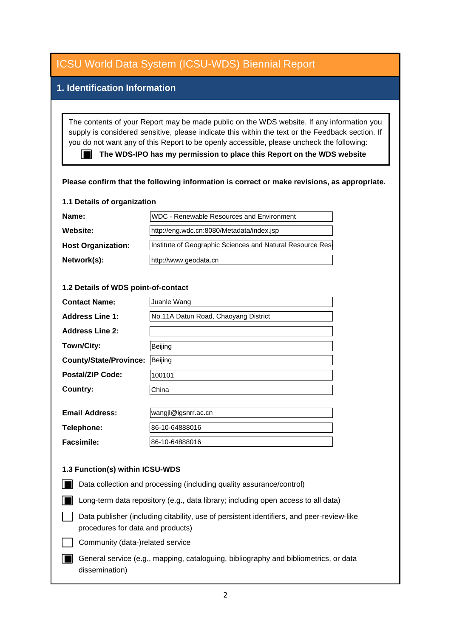## **1. Identification Information**

The contents of your Report may be made public on the WDS website. If any information you supply is considered sensitive, please indicate this within the text or the Feedback section. If you do not want any of this Report to be openly accessible, please uncheck the following:

■ The WDS-IPO has my permission to place this Report on the WDS website

### **Please confirm that the following information is correct or make revisions, as appropriate.**

#### **1.1 Details of organization**

| Name:                     | WDC - Renewable Resources and Environment                 |  |
|---------------------------|-----------------------------------------------------------|--|
| <b>Website:</b>           | http://eng.wdc.cn:8080/Metadata/index.jsp                 |  |
| <b>Host Organization:</b> | Institute of Geographic Sciences and Natural Resource Res |  |
| Network(s):               | http://www.geodata.cn                                     |  |

### **1.2 Details of WDS point-of-contact**

| <b>Contact Name:</b>          | Juanle Wang                          |
|-------------------------------|--------------------------------------|
| <b>Address Line 1:</b>        | No.11A Datun Road, Chaoyang District |
| <b>Address Line 2:</b>        |                                      |
| Town/City:                    | Beijing                              |
| <b>County/State/Province:</b> | Beijing                              |
| <b>Postal/ZIP Code:</b>       | 100101                               |
| <b>Country:</b>               | China                                |
|                               |                                      |
| <b>Email Address:</b>         | wangjl@igsnrr.ac.cn                  |
| Telephone:                    | 86-10-64888016                       |
| Facsimile:                    | 86-10-64888016                       |

### **1.3 Function(s) within ICSU-WDS**

- Data collection and processing (including quality assurance/control)
- Long-term data repository (e.g., data library; including open access to all data)
- Data publisher (including citability, use of persistent identifiers, and peer-review-like procedures for data and products)
- Community (data-)related service
- General service (e.g., mapping, cataloguing, bibliography and bibliometrics, or data dissemination)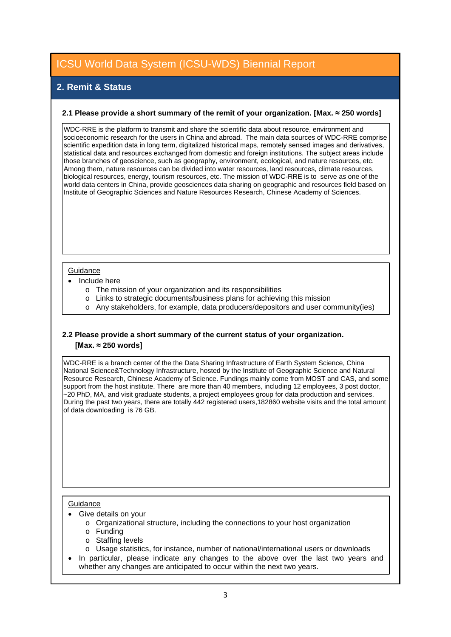## **2. Remit & Status**

### **2.1 Please provide a short summary of the remit of your organization. [Max. ≈ 250 words]**

WDC-RRE is the platform to transmit and share the scientific data about resource, environment and socioeconomic research for the users in China and abroad. The main data sources of WDC-RRE comprise scientific expedition data in long term, digitalized historical maps, remotely sensed images and derivatives, statistical data and resources exchanged from domestic and foreign institutions. The subject areas include those branches of geoscience, such as geography, environment, ecological, and nature resources, etc. Among them, nature resources can be divided into water resources, land resources, climate resources, biological resources, energy, tourism resources, etc. The mission of WDC-RRE is to serve as one of the world data centers in China, provide geosciences data sharing on geographic and resources field based on Institute of Geographic Sciences and Nature Resources Research, Chinese Academy of Sciences.

#### **Guidance**

- Include here
	- o The mission of your organization and its responsibilities
	- o Links to strategic documents/business plans for achieving this mission
	- o Any stakeholders, for example, data producers/depositors and user community(ies)

### **2.2 Please provide a short summary of the current status of your organization. [Max. ≈ 250 words]**

WDC-RRE is a branch center of the the Data Sharing Infrastructure of Earth System Science, China National Science&Technology Infrastructure, hosted by the Institute of Geographic Science and Natural Resource Research, Chinese Academy of Science. Fundings mainly come from MOST and CAS, and some support from the host institute. There are more than 40 members, including 12 employees, 3 post doctor, ~20 PhD, MA, and visit graduate students, a project employees group for data production and services. During the past two years, there are totally 442 registered users,182860 website visits and the total amount of data downloading is 76 GB.

### **Guidance**

- Give details on your
	- o Organizational structure, including the connections to your host organization
	- o Funding
	- o Staffing levels
	- o Usage statistics, for instance, number of national/international users or downloads
- In particular, please indicate any changes to the above over the last two years and whether any changes are anticipated to occur within the next two years.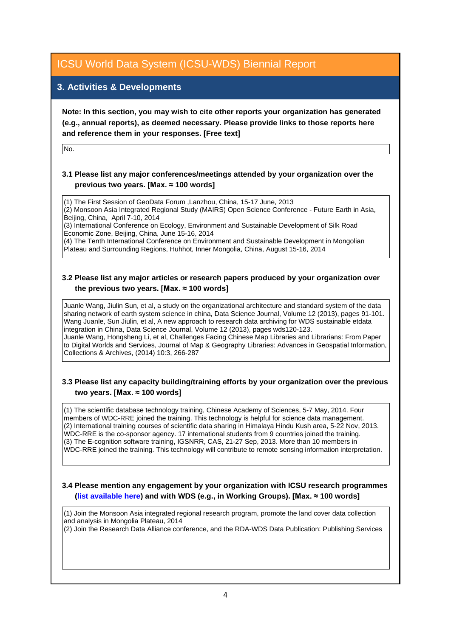## **3. Activities & Developments**

**Note: In this section, you may wish to cite other reports your organization has generated (e.g., annual reports), as deemed necessary. Please provide links to those reports here and reference them in your responses. [Free text]**

No.

### **3.1 Please list any major conferences/meetings attended by your organization over the previous two years. [Max. ≈ 100 words]**

(1) The First Session of GeoData Forum ,Lanzhou, China, 15-17 June, 2013

(2) Monsoon Asia Integrated Regional Study (MAIRS) Open Science Conference - Future Earth in Asia, Beijing, China, April 7-10, 2014

(3) International Conference on Ecology, Environment and Sustainable Development of Silk Road Economic Zone, Beijing, China, June 15-16, 2014

(4) The Tenth International Conference on Environment and Sustainable Development in Mongolian Plateau and Surrounding Regions, Huhhot, Inner Mongolia, China, August 15-16, 2014

### **3.2 Please list any major articles or research papers produced by your organization over the previous two years. [Max. ≈ 100 words]**

Juanle Wang, Jiulin Sun, et al, a study on the organizational architecture and standard system of the data sharing network of earth system science in china, Data Science Journal, Volume 12 (2013), pages 91-101. Wang Juanle, Sun Jiulin, et al, A new approach to research data archiving for WDS sustainable etdata integration in China, Data Science Journal, Volume 12 (2013), pages wds120-123. Juanle Wang, Hongsheng Li, et al, Challenges Facing Chinese Map Libraries and Librarians: From Paper to Digital Worlds and Services, Journal of Map & Geography Libraries: Advances in Geospatial Information, Collections & Archives, (2014) 10:3, 266-287

### **3.3 Please list any capacity building/training efforts by your organization over the previous two years. [Max. ≈ 100 words]**

(1) The scientific database technology training, Chinese Academy of Sciences, 5-7 May, 2014. Four members of WDC-RRE joined the training. This technology is helpful for science data management. (2) International training courses of scientific data sharing in Himalaya Hindu Kush area, 5-22 Nov, 2013. WDC-RRE is the co-sponsor agency. 17 international students from 9 countries joined the training. (3) The E-cognition software training, IGSNRR, CAS, 21-27 Sep, 2013. More than 10 members in WDC-RRE joined the training. This technology will contribute to remote sensing information interpretation.

### **3.4 Please mention any engagement by your organization with ICSU research programmes [\(list available here\)](http://www.icsu.org/what-we-do/@@category_search?path=/icsu/what-we-do&Subject:list=International%20Research%20Collaboration) and with WDS (e.g., in Working Groups). [Max. ≈ 100 words]**

(1) Join the Monsoon Asia integrated regional research program, promote the land cover data collection and analysis in Mongolia Plateau, 2014

(2) Join the Research Data Alliance conference, and the RDA-WDS Data Publication: Publishing Services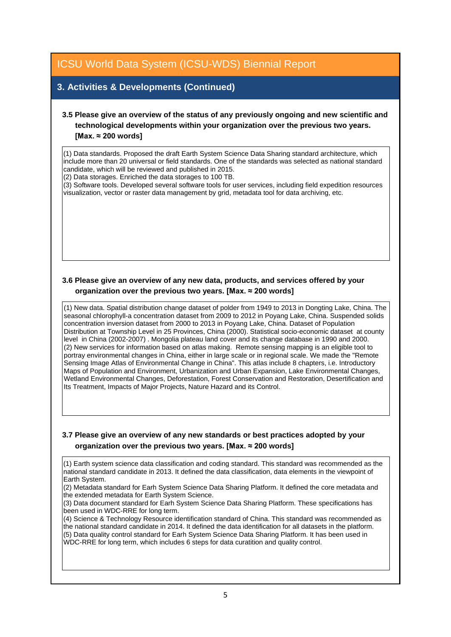## **3. Activities & Developments (Continued)**

### **3.5 Please give an overview of the status of any previously ongoing and new scientific and technological developments within your organization over the previous two years. [Max. ≈ 200 words]**

(1) Data standards. Proposed the draft Earth System Science Data Sharing standard architecture, which include more than 20 universal or field standards. One of the standards was selected as national standard candidate, which will be reviewed and published in 2015.

(2) Data storages. Enriched the data storages to 100 TB.

(3) Software tools. Developed several software tools for user services, including field expedition resources visualization, vector or raster data management by grid, metadata tool for data archiving, etc.

### **3.6 Please give an overview of any new data, products, and services offered by your organization over the previous two years. [Max. ≈ 200 words]**

(1) New data. Spatial distribution change dataset of polder from 1949 to 2013 in Dongting Lake, China. The seasonal chlorophyll-a concentration dataset from 2009 to 2012 in Poyang Lake, China. Suspended solids concentration inversion dataset from 2000 to 2013 in Poyang Lake, China. Dataset of Population Distribution at Township Level in 25 Provinces, China (2000). Statistical socio-economic dataset at county level in China (2002-2007) . Mongolia plateau land cover and its change database in 1990 and 2000. (2) New services for information based on atlas making. Remote sensing mapping is an eligible tool to portray environmental changes in China, either in large scale or in regional scale. We made the "Remote Sensing Image Atlas of Environmental Change in China". This atlas include 8 chapters, i.e. Introductory Maps of Population and Environment, Urbanization and Urban Expansion, Lake Environmental Changes, Wetland Environmental Changes, Deforestation, Forest Conservation and Restoration, Desertification and Its Treatment, Impacts of Major Projects, Nature Hazard and its Control.

### **3.7 Please give an overview of any new standards or best practices adopted by your organization over the previous two years. [Max. ≈ 200 words]**

(1) Earth system science data classification and coding standard. This standard was recommended as the national standard candidate in 2013. It defined the data classification, data elements in the viewpoint of Earth System.

(2) Metadata standard for Earh System Science Data Sharing Platform. It defined the core metadata and the extended metadata for Earth System Science.

(3) Data document standard for Earh System Science Data Sharing Platform. These specifications has been used in WDC-RRE for long term.

(4) Science & Technology Resource identification standard of China. This standard was recommended as the national standard candidate in 2014. It defined the data identification for all datasets in the platform. (5) Data quality control standard for Earh System Science Data Sharing Platform. It has been used in WDC-RRE for long term, which includes 6 steps for data curatition and quality control.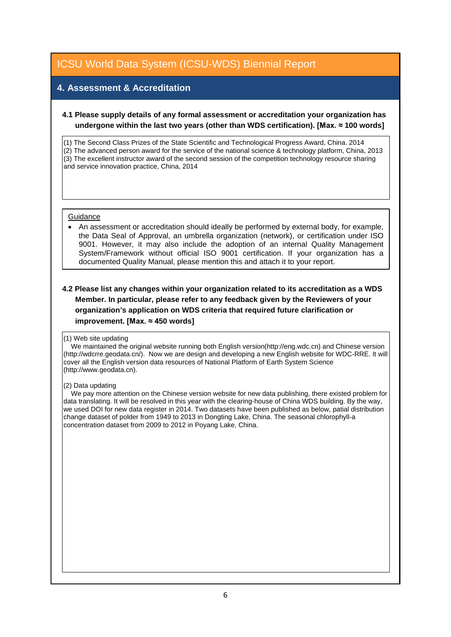## **4. Assessment & Accreditation**

### **4.1 Please supply details of any formal assessment or accreditation your organization has undergone within the last two years (other than WDS certification). [Max. ≈ 100 words]**

(1) The Second Class Prizes of the State Scientific and Technological Progress Award, China. 2014 (2) The advanced person award for the service of the national science & technology platform, China, 2013  $(3)$  The excellent instructor award of the second session of the competition technology resource sharing and service innovation practice, China, 2014

#### **Guidance**

• An assessment or accreditation should ideally be performed by external body, for example, the Data Seal of Approval, an umbrella organization (network), or certification under ISO 9001. However, it may also include the adoption of an internal Quality Management System/Framework without official ISO 9001 certification. If your organization has a documented Quality Manual, please mention this and attach it to your report.

### **4.2 Please list any changes within your organization related to its accreditation as a WDS Member. In particular, please refer to any feedback given by the Reviewers of your organization's application on WDS criteria that required future clarification or improvement. [Max. ≈ 450 words]**

#### (1) Web site updating

 We maintained the original website running both English version(http://eng.wdc.cn) and Chinese version (http://wdcrre.geodata.cn/). Now we are design and developing a new English website for WDC-RRE. It will cover all the English version data resources of National Platform of Earth System Science (http://www.geodata.cn).

#### (2) Data updating

 We pay more attention on the Chinese version website for new data publishing, there existed problem for data translating. It will be resolved in this year with the clearing-house of China WDS building. By the way, we used DOI for new data register in 2014. Two datasets have been published as below, patial distribution change dataset of polder from 1949 to 2013 in Dongting Lake, China. The seasonal chlorophyll-a concentration dataset from 2009 to 2012 in Poyang Lake, China.